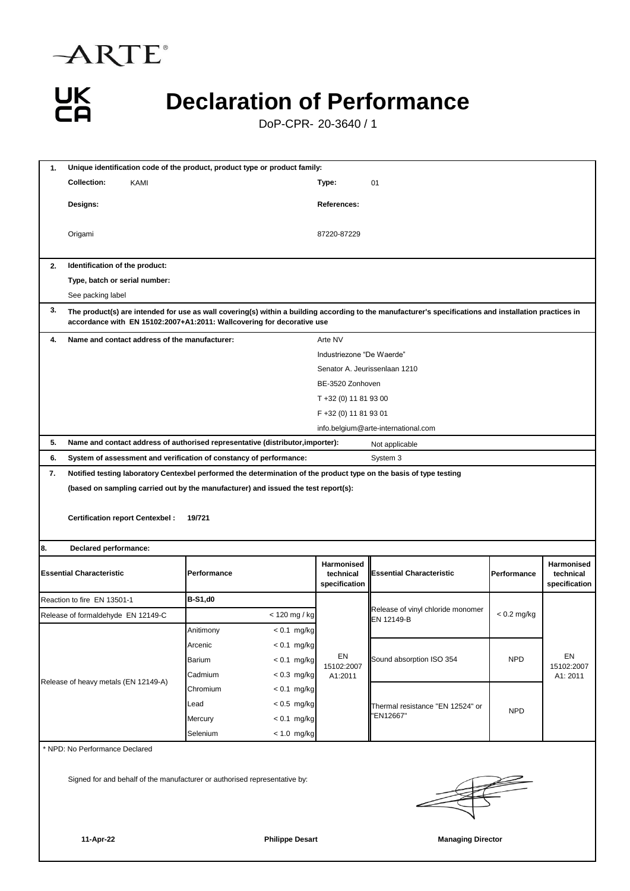



## **Declaration of Performance**

DoP-CPR- 20-3640 / 1

| Unique identification code of the product, product type or product family:<br>1. |                                                                                                                                                                                                                                  |                                                                                                                    |                                          |                                                 |               |                                          |  |  |  |  |
|----------------------------------------------------------------------------------|----------------------------------------------------------------------------------------------------------------------------------------------------------------------------------------------------------------------------------|--------------------------------------------------------------------------------------------------------------------|------------------------------------------|-------------------------------------------------|---------------|------------------------------------------|--|--|--|--|
|                                                                                  | <b>Collection:</b><br>KAMI                                                                                                                                                                                                       |                                                                                                                    | Type:                                    | 01                                              |               |                                          |  |  |  |  |
|                                                                                  | Designs:                                                                                                                                                                                                                         |                                                                                                                    | References:                              |                                                 |               |                                          |  |  |  |  |
|                                                                                  | Origami                                                                                                                                                                                                                          |                                                                                                                    | 87220-87229                              |                                                 |               |                                          |  |  |  |  |
| 2.                                                                               | Identification of the product:                                                                                                                                                                                                   |                                                                                                                    |                                          |                                                 |               |                                          |  |  |  |  |
|                                                                                  | Type, batch or serial number:                                                                                                                                                                                                    |                                                                                                                    |                                          |                                                 |               |                                          |  |  |  |  |
|                                                                                  | See packing label                                                                                                                                                                                                                |                                                                                                                    |                                          |                                                 |               |                                          |  |  |  |  |
| 3.                                                                               | The product(s) are intended for use as wall covering(s) within a building according to the manufacturer's specifications and installation practices in<br>accordance with EN 15102:2007+A1:2011: Wallcovering for decorative use |                                                                                                                    |                                          |                                                 |               |                                          |  |  |  |  |
| 4.                                                                               | Name and contact address of the manufacturer:                                                                                                                                                                                    |                                                                                                                    | Arte NV                                  |                                                 |               |                                          |  |  |  |  |
|                                                                                  |                                                                                                                                                                                                                                  |                                                                                                                    | Industriezone "De Waerde"                |                                                 |               |                                          |  |  |  |  |
|                                                                                  |                                                                                                                                                                                                                                  |                                                                                                                    | Senator A. Jeurissenlaan 1210            |                                                 |               |                                          |  |  |  |  |
|                                                                                  |                                                                                                                                                                                                                                  |                                                                                                                    | BE-3520 Zonhoven                         |                                                 |               |                                          |  |  |  |  |
|                                                                                  |                                                                                                                                                                                                                                  |                                                                                                                    | T +32 (0) 11 81 93 00                    |                                                 |               |                                          |  |  |  |  |
|                                                                                  |                                                                                                                                                                                                                                  |                                                                                                                    | F +32 (0) 11 81 93 01                    |                                                 |               |                                          |  |  |  |  |
|                                                                                  |                                                                                                                                                                                                                                  |                                                                                                                    | info.belgium@arte-international.com      |                                                 |               |                                          |  |  |  |  |
| 5.                                                                               |                                                                                                                                                                                                                                  | Name and contact address of authorised representative (distributor, importer):                                     |                                          | Not applicable                                  |               |                                          |  |  |  |  |
| 6.                                                                               |                                                                                                                                                                                                                                  | System of assessment and verification of constancy of performance:                                                 |                                          | System 3                                        |               |                                          |  |  |  |  |
| 7.                                                                               |                                                                                                                                                                                                                                  | Notified testing laboratory Centexbel performed the determination of the product type on the basis of type testing |                                          |                                                 |               |                                          |  |  |  |  |
|                                                                                  | <b>Certification report Centexbel:</b>                                                                                                                                                                                           | 19/721                                                                                                             |                                          |                                                 |               |                                          |  |  |  |  |
| 8.                                                                               | Declared performance:                                                                                                                                                                                                            |                                                                                                                    |                                          |                                                 |               |                                          |  |  |  |  |
| <b>Essential Characteristic</b>                                                  |                                                                                                                                                                                                                                  | Performance                                                                                                        | Harmonised<br>technical<br>specification | <b>Essential Characteristic</b>                 | Performance   | Harmonised<br>technical<br>specification |  |  |  |  |
|                                                                                  | Reaction to fire EN 13501-1                                                                                                                                                                                                      | <b>B-S1,d0</b>                                                                                                     |                                          |                                                 |               |                                          |  |  |  |  |
| Release of formaldehyde EN 12149-C                                               |                                                                                                                                                                                                                                  | < 120 mg / kg                                                                                                      |                                          | Release of vinyl chloride monomer<br>EN 12149-B | $< 0.2$ mg/kg |                                          |  |  |  |  |
| Release of heavy metals (EN 12149-A)                                             |                                                                                                                                                                                                                                  | Anitimony<br>$< 0.1$ mg/kg                                                                                         |                                          |                                                 |               |                                          |  |  |  |  |
|                                                                                  |                                                                                                                                                                                                                                  | $< 0.1$ mg/kg<br>Arcenic                                                                                           |                                          |                                                 |               |                                          |  |  |  |  |
|                                                                                  |                                                                                                                                                                                                                                  | Barium<br>$< 0.1$ mg/kg                                                                                            | EN<br>15102:2007                         | Sound absorption ISO 354                        | <b>NPD</b>    | EN<br>15102:2007                         |  |  |  |  |
|                                                                                  |                                                                                                                                                                                                                                  | $< 0.3$ mg/kg<br>Cadmium                                                                                           | A1:2011                                  |                                                 |               | A1: 2011                                 |  |  |  |  |
|                                                                                  |                                                                                                                                                                                                                                  | Chromium<br>$< 0.1$ mg/kg                                                                                          |                                          |                                                 |               |                                          |  |  |  |  |
|                                                                                  |                                                                                                                                                                                                                                  | Lead<br>$< 0.5$ mg/kg                                                                                              |                                          | Thermal resistance "EN 12524" or                | <b>NPD</b>    |                                          |  |  |  |  |
|                                                                                  |                                                                                                                                                                                                                                  | $< 0.1$ mg/kg<br>Mercury                                                                                           |                                          | 'EN12667"                                       |               |                                          |  |  |  |  |
|                                                                                  |                                                                                                                                                                                                                                  | Selenium<br>$< 1.0$ mg/kg                                                                                          |                                          |                                                 |               |                                          |  |  |  |  |
| * NPD: No Performance Declared                                                   |                                                                                                                                                                                                                                  |                                                                                                                    |                                          |                                                 |               |                                          |  |  |  |  |
|                                                                                  |                                                                                                                                                                                                                                  | Signed for and behalf of the manufacturer or authorised representative by:                                         |                                          |                                                 |               |                                          |  |  |  |  |

**11-Apr-22 Philippe Desart Managing Director**